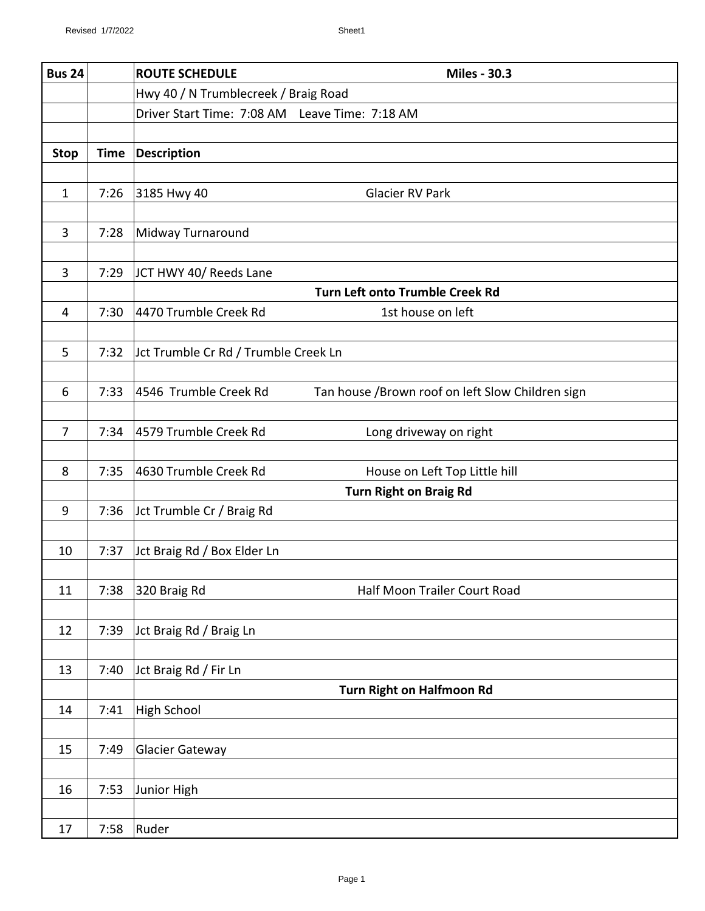| Tan house /Brown roof on left Slow Children sign |
|--------------------------------------------------|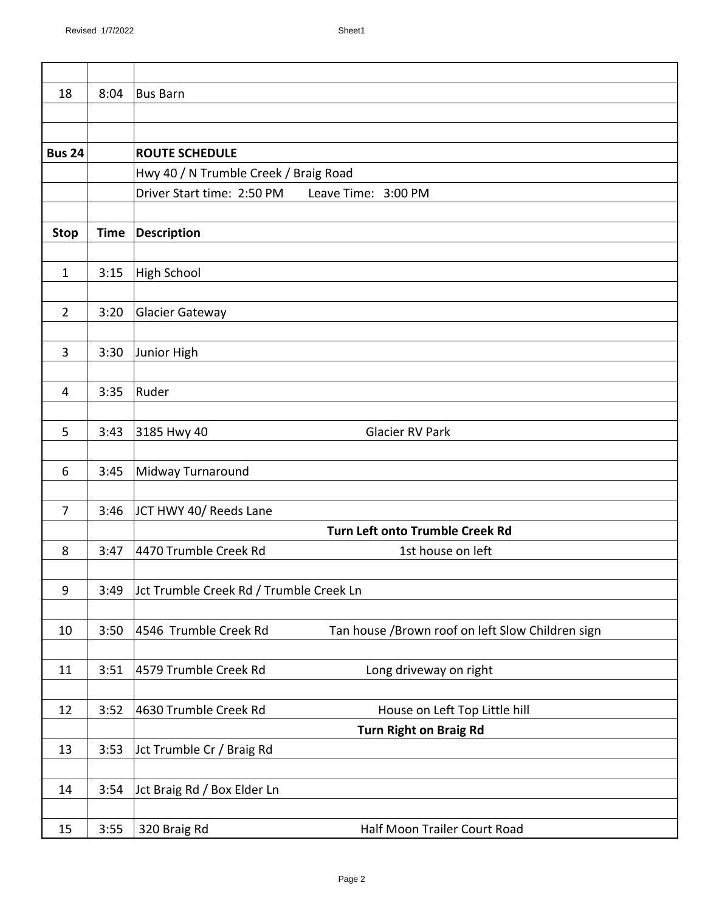| 18               | 8:04        | <b>Bus Barn</b>                                                           |
|------------------|-------------|---------------------------------------------------------------------------|
|                  |             |                                                                           |
|                  |             |                                                                           |
| <b>Bus 24</b>    |             | <b>ROUTE SCHEDULE</b>                                                     |
|                  |             | Hwy 40 / N Trumble Creek / Braig Road                                     |
|                  |             | Driver Start time: 2:50 PM<br>Leave Time: 3:00 PM                         |
|                  |             |                                                                           |
| <b>Stop</b>      | <b>Time</b> | <b>Description</b>                                                        |
| $\mathbf{1}$     | 3:15        | High School                                                               |
|                  |             |                                                                           |
| $\overline{2}$   | 3:20        | <b>Glacier Gateway</b>                                                    |
|                  |             |                                                                           |
| 3                | 3:30        | Junior High                                                               |
|                  |             |                                                                           |
| 4                | 3:35        | Ruder                                                                     |
|                  |             |                                                                           |
| 5                | 3:43        | 3185 Hwy 40<br><b>Glacier RV Park</b>                                     |
|                  |             |                                                                           |
| 6                | 3:45        | Midway Turnaround                                                         |
|                  |             |                                                                           |
| $\overline{7}$   | 3:46        | JCT HWY 40/ Reeds Lane                                                    |
|                  |             | Turn Left onto Trumble Creek Rd                                           |
| 8                | 3:47        | 4470 Trumble Creek Rd<br>1st house on left                                |
| $\boldsymbol{9}$ | 3:49        | Jct Trumble Creek Rd / Trumble Creek Ln                                   |
|                  |             |                                                                           |
| 10               | 3:50        | 4546 Trumble Creek Rd<br>Tan house /Brown roof on left Slow Children sign |
|                  |             |                                                                           |
| 11               | 3:51        | 4579 Trumble Creek Rd<br>Long driveway on right                           |
|                  |             |                                                                           |
| 12               | 3:52        | 4630 Trumble Creek Rd<br>House on Left Top Little hill                    |
|                  |             | <b>Turn Right on Braig Rd</b>                                             |
| 13               | 3:53        | Jct Trumble Cr / Braig Rd                                                 |
|                  |             |                                                                           |
| 14               | 3:54        | Jct Braig Rd / Box Elder Ln                                               |
|                  |             |                                                                           |
| 15               | 3:55        | 320 Braig Rd<br>Half Moon Trailer Court Road                              |